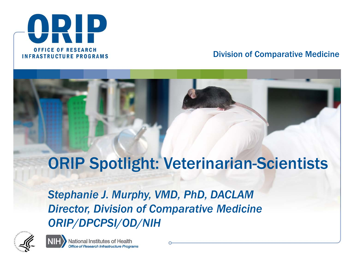

#### Division of Comparative Medicine

#### ORIP Spotlight: Veterinarian-Scientists

*Stephanie J. Murphy, VMD, PhD, DACLAM Director, Division of Comparative Medicine ORIP/DPCPSI/OD/NIH*



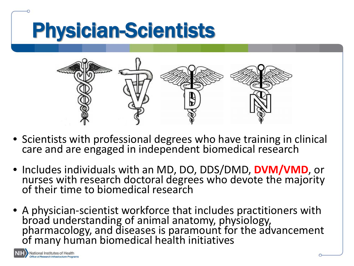## Physician-Scientists



- Scientists with professional degrees who have training in clinical care and are engaged in independent biomedical research
- Includes individuals with an MD, DO, DDS/DMD, **DVM/VMD**, or nurses with research doctoral degrees who devote the majority of their time to biomedical research
- A physician-scientist workforce that includes practitioners with broad understanding of animal anatomy, physiology, pharmacology, and diseases is paramount for the advancement of many human biomedical health initiatives

National Institutes of Health of Research Infrastructure Progra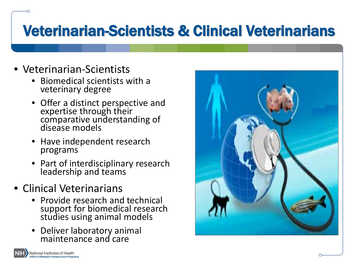#### Veterinarian-Scientists & Clinical Veterinarians

- Veterinarian-Scientists
	- Biomedical scientists with a veterinary degree
	- Offer a distinct perspective and expertise through their comparative understanding of disease models
	- Have independent research programs
	- Part of interdisciplinary research leadership and teams
- Clinical Veterinarians
	- Provide research and technical support for biomedical research studies using animal models
	- Deliver laboratory animal maintenance and care



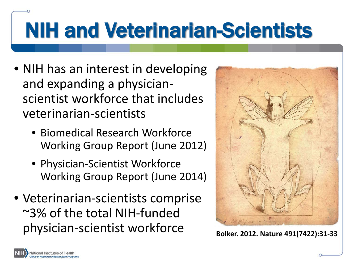# NIH and Veterinarian-Scientists

- NIH has an interest in developing and expanding a physicianscientist workforce that includes veterinarian-scientists
	- Biomedical Research Workforce Working Group Report (June 2012)
	- Physician-Scientist Workforce Working Group Report (June 2014)
- Veterinarian-scientists comprise ~3% of the total NIH-funded physician-scientist workforce Bolker. 2012. Nature 491(7422):31-33



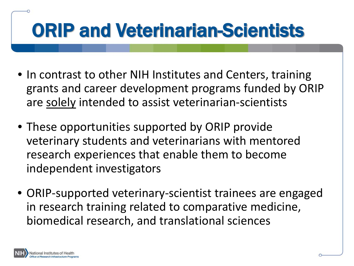## ORIP and Veterinarian-Scientists

- In contrast to other NIH Institutes and Centers, training grants and career development programs funded by ORIP are solely intended to assist veterinarian-scientists
- These opportunities supported by ORIP provide veterinary students and veterinarians with mentored research experiences that enable them to become independent investigators
- ORIP-supported veterinary-scientist trainees are engaged in research training related to comparative medicine, biomedical research, and translational sciences

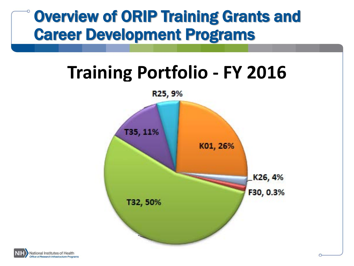#### Overview of ORIP Training Grants and Career Development Programs

#### **Training Portfolio - FY 2016**



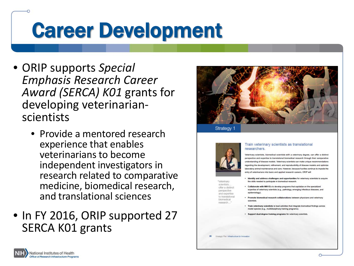## Career Development

- ORIP supports *Special Emphasis Research Career Award (SERCA) K01* grants for developing veterinarian- scientists
	- Provide a mentored research experience that enables veterinarians to become independent investigators in research related to comparative medicine, biomedical research, and translational sciences
- In FY 2016, ORIP supported 27 SERCA K01 grants





ffer a distinct

and expertise o translationa

Strategic Plan: Infrastructure for Innovatio

biornedical

#### Train veterinary scientists as translational researchers.

Veterinary scientists, biomedical scientists with a veterinary degree, can offer a distinct perspective and expertise to translational biomedical research through their comparative understanding of disease models. Veterinary scientists can make unique recommendations regarding the development, refinement, and reproducibility of disease models and optimize laboratory animal maintenance and care. However, because hurdles continue to impede the entry of veterinarians into basic and applied research careers, ORIP will

- · Identify and address challenges and opportunities for veterinary scientists to acquire the skills needed to participate in biomedical research.
- . Collaborate with NIH ICs to develop programs that capitalize on the specialized expertise of veterinary scientists (e.g., pathology, emerging infectious diseases, and epidemiology)
- · Promote biomedical research collaborations between physicians and veterinary scientists.
- . Train veterinary scientists to lead activities that integrate biomedical findings across model species (e.g., multidisciplinary training programs)
- · Support dual-degree training programs for veterinary scientists

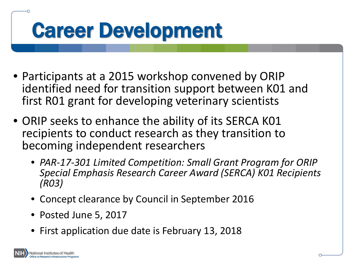## Career Development

- Participants at a 2015 workshop convened by ORIP identified need for transition support between K01 and first R01 grant for developing veterinary scientists
- ORIP seeks to enhance the ability of its SERCA K01 recipients to conduct research as they transition to becoming independent researchers
	- *PAR-17-301 Limited Competition: Small Grant Program for ORIP Special Emphasis Research Career Award (SERCA) K01 Recipients (R03)*
	- Concept clearance by Council in September 2016
	- Posted June 5, 2017
	- First application due date is February 13, 2018

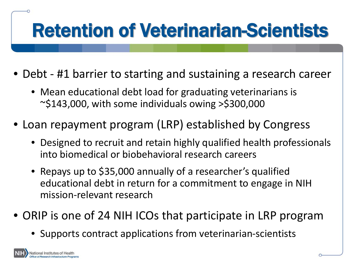## Retention of Veterinarian-Scientists

- Debt #1 barrier to starting and sustaining a research career
	- Mean educational debt load for graduating veterinarians is  $\sim$ \$143,000, with some individuals owing >\$300,000
- Loan repayment program (LRP) established by Congress
	- Designed to recruit and retain highly qualified health professionals into biomedical or biobehavioral research careers
	- Repays up to \$35,000 annually of a researcher's qualified educational debt in return for a commitment to engage in NIH mission-relevant research
- ORIP is one of 24 NIH ICOs that participate in LRP program
	- Supports contract applications from veterinarian-scientists